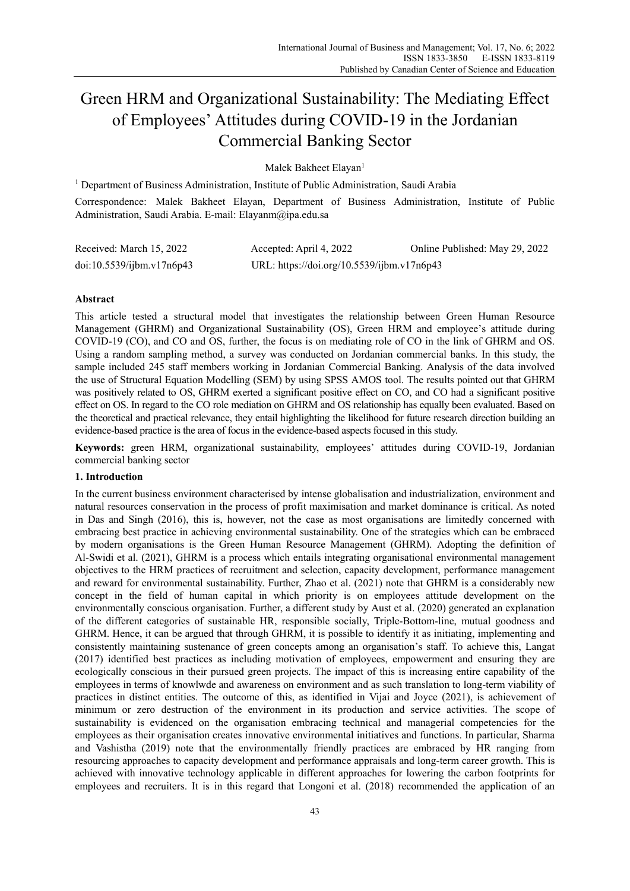# Green HRM and Organizational Sustainability: The Mediating Effect of Employees' Attitudes during COVID-19 in the Jordanian Commercial Banking Sector

Malek Bakheet Elayan<sup>1</sup>

<sup>1</sup> Department of Business Administration, Institute of Public Administration, Saudi Arabia

Correspondence: Malek Bakheet Elayan, Department of Business Administration, Institute of Public Administration, Saudi Arabia. E-mail: Elayanm@ipa.edu.sa

| Received: March 15, 2022 | Accepted: April 4, 2022                    | Online Published: May 29, 2022 |
|--------------------------|--------------------------------------------|--------------------------------|
| doi:10.5539/jbm.v17n6p43 | URL: https://doi.org/10.5539/ijbm.v17n6p43 |                                |

# **Abstract**

This article tested a structural model that investigates the relationship between Green Human Resource Management (GHRM) and Organizational Sustainability (OS), Green HRM and employee's attitude during COVID-19 (CO), and CO and OS, further, the focus is on mediating role of CO in the link of GHRM and OS. Using a random sampling method, a survey was conducted on Jordanian commercial banks. In this study, the sample included 245 staff members working in Jordanian Commercial Banking. Analysis of the data involved the use of Structural Equation Modelling (SEM) by using SPSS AMOS tool. The results pointed out that GHRM was positively related to OS, GHRM exerted a significant positive effect on CO, and CO had a significant positive effect on OS. In regard to the CO role mediation on GHRM and OS relationship has equally been evaluated. Based on the theoretical and practical relevance, they entail highlighting the likelihood for future research direction building an evidence-based practice is the area of focus in the evidence-based aspects focused in this study.

**Keywords:** green HRM, organizational sustainability, employees' attitudes during COVID-19, Jordanian commercial banking sector

# **1. Introduction**

In the current business environment characterised by intense globalisation and industrialization, environment and natural resources conservation in the process of profit maximisation and market dominance is critical. As noted in Das and Singh (2016), this is, however, not the case as most organisations are limitedly concerned with embracing best practice in achieving environmental sustainability. One of the strategies which can be embraced by modern organisations is the Green Human Resource Management (GHRM). Adopting the definition of Al-Swidi et al. (2021), GHRM is a process which entails integrating organisational environmental management objectives to the HRM practices of recruitment and selection, capacity development, performance management and reward for environmental sustainability. Further, Zhao et al. (2021) note that GHRM is a considerably new concept in the field of human capital in which priority is on employees attitude development on the environmentally conscious organisation. Further, a different study by Aust et al. (2020) generated an explanation of the different categories of sustainable HR, responsible socially, Triple-Bottom-line, mutual goodness and GHRM. Hence, it can be argued that through GHRM, it is possible to identify it as initiating, implementing and consistently maintaining sustenance of green concepts among an organisation's staff. To achieve this, Langat (2017) identified best practices as including motivation of employees, empowerment and ensuring they are ecologically conscious in their pursued green projects. The impact of this is increasing entire capability of the employees in terms of knowlwde and awareness on environment and as such translation to long-term viability of practices in distinct entities. The outcome of this, as identified in Vijai and Joyce (2021), is achievement of minimum or zero destruction of the environment in its production and service activities. The scope of sustainability is evidenced on the organisation embracing technical and managerial competencies for the employees as their organisation creates innovative environmental initiatives and functions. In particular, Sharma and Vashistha (2019) note that the environmentally friendly practices are embraced by HR ranging from resourcing approaches to capacity development and performance appraisals and long-term career growth. This is achieved with innovative technology applicable in different approaches for lowering the carbon footprints for employees and recruiters. It is in this regard that Longoni et al. (2018) recommended the application of an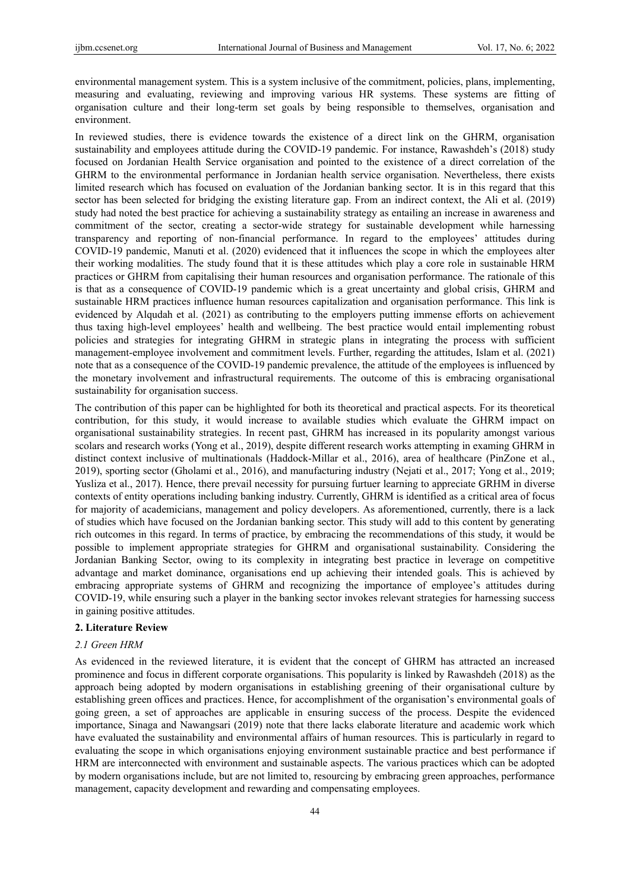environmental management system. This is a system inclusive of the commitment, policies, plans, implementing, measuring and evaluating, reviewing and improving various HR systems. These systems are fitting of organisation culture and their long-term set goals by being responsible to themselves, organisation and environment.

In reviewed studies, there is evidence towards the existence of a direct link on the GHRM, organisation sustainability and employees attitude during the COVID-19 pandemic. For instance, Rawashdeh's (2018) study focused on Jordanian Health Service organisation and pointed to the existence of a direct correlation of the GHRM to the environmental performance in Jordanian health service organisation. Nevertheless, there exists limited research which has focused on evaluation of the Jordanian banking sector. It is in this regard that this sector has been selected for bridging the existing literature gap. From an indirect context, the Ali et al. (2019) study had noted the best practice for achieving a sustainability strategy as entailing an increase in awareness and commitment of the sector, creating a sector-wide strategy for sustainable development while harnessing transparency and reporting of non-financial performance. In regard to the employees' attitudes during COVID-19 pandemic, Manuti et al. (2020) evidenced that it influences the scope in which the employees alter their working modalities. The study found that it is these attitudes which play a core role in sustainable HRM practices or GHRM from capitalising their human resources and organisation performance. The rationale of this is that as a consequence of COVID-19 pandemic which is a great uncertainty and global crisis, GHRM and sustainable HRM practices influence human resources capitalization and organisation performance. This link is evidenced by Alqudah et al. (2021) as contributing to the employers putting immense efforts on achievement thus taxing high-level employees' health and wellbeing. The best practice would entail implementing robust policies and strategies for integrating GHRM in strategic plans in integrating the process with sufficient management-employee involvement and commitment levels. Further, regarding the attitudes, Islam et al. (2021) note that as a consequence of the COVID-19 pandemic prevalence, the attitude of the employees is influenced by the monetary involvement and infrastructural requirements. The outcome of this is embracing organisational sustainability for organisation success.

The contribution of this paper can be highlighted for both its theoretical and practical aspects. For its theoretical contribution, for this study, it would increase to available studies which evaluate the GHRM impact on organisational sustainability strategies. In recent past, GHRM has increased in its popularity amongst various scolars and research works (Yong et al., 2019), despite different research works attempting in examing GHRM in distinct context inclusive of multinationals (Haddock-Millar et al., 2016), area of healthcare (PinZone et al., 2019), sporting sector (Gholami et al., 2016), and manufacturing industry (Nejati et al., 2017; Yong et al., 2019; Yusliza et al., 2017). Hence, there prevail necessity for pursuing furtuer learning to appreciate GRHM in diverse contexts of entity operations including banking industry. Currently, GHRM is identified as a critical area of focus for majority of academicians, management and policy developers. As aforementioned, currently, there is a lack of studies which have focused on the Jordanian banking sector. This study will add to this content by generating rich outcomes in this regard. In terms of practice, by embracing the recommendations of this study, it would be possible to implement appropriate strategies for GHRM and organisational sustainability. Considering the Jordanian Banking Sector, owing to its complexity in integrating best practice in leverage on competitive advantage and market dominance, organisations end up achieving their intended goals. This is achieved by embracing appropriate systems of GHRM and recognizing the importance of employee's attitudes during COVID-19, while ensuring such a player in the banking sector invokes relevant strategies for harnessing success in gaining positive attitudes.

#### **2. Literature Review**

## *2.1 Green HRM*

As evidenced in the reviewed literature, it is evident that the concept of GHRM has attracted an increased prominence and focus in different corporate organisations. This popularity is linked by Rawashdeh (2018) as the approach being adopted by modern organisations in establishing greening of their organisational culture by establishing green offices and practices. Hence, for accomplishment of the organisation's environmental goals of going green, a set of approaches are applicable in ensuring success of the process. Despite the evidenced importance, Sinaga and Nawangsari (2019) note that there lacks elaborate literature and academic work which have evaluated the sustainability and environmental affairs of human resources. This is particularly in regard to evaluating the scope in which organisations enjoying environment sustainable practice and best performance if HRM are interconnected with environment and sustainable aspects. The various practices which can be adopted by modern organisations include, but are not limited to, resourcing by embracing green approaches, performance management, capacity development and rewarding and compensating employees.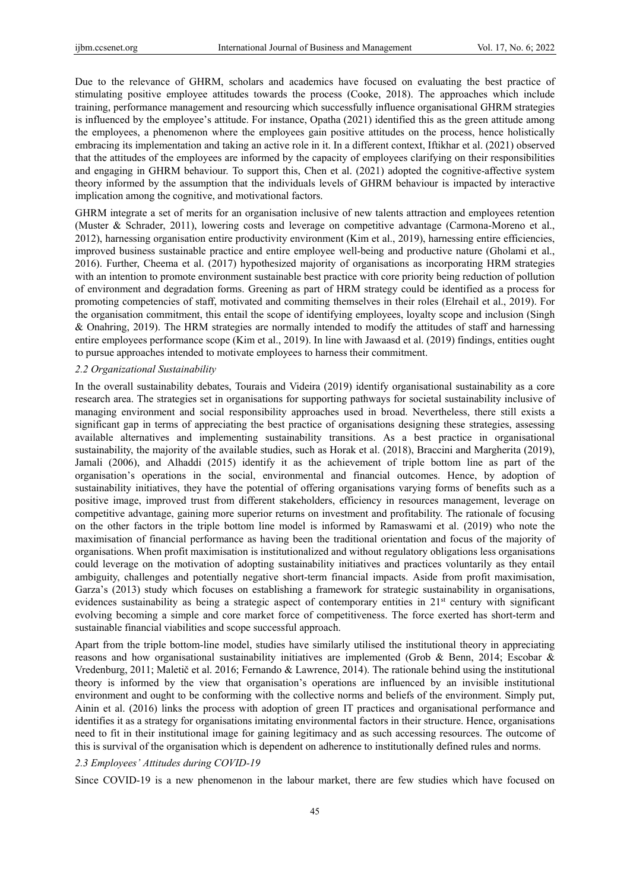Due to the relevance of GHRM, scholars and academics have focused on evaluating the best practice of stimulating positive employee attitudes towards the process (Cooke, 2018). The approaches which include training, performance management and resourcing which successfully influence organisational GHRM strategies is influenced by the employee's attitude. For instance, Opatha (2021) identified this as the green attitude among the employees, a phenomenon where the employees gain positive attitudes on the process, hence holistically embracing its implementation and taking an active role in it. In a different context, Iftikhar et al. (2021) observed that the attitudes of the employees are informed by the capacity of employees clarifying on their responsibilities and engaging in GHRM behaviour. To support this, Chen et al. (2021) adopted the cognitive-affective system theory informed by the assumption that the individuals levels of GHRM behaviour is impacted by interactive implication among the cognitive, and motivational factors.

GHRM integrate a set of merits for an organisation inclusive of new talents attraction and employees retention (Muster & Schrader, 2011), lowering costs and leverage on competitive advantage (Carmona-Moreno et al., 2012), harnessing organisation entire productivity environment (Kim et al., 2019), harnessing entire efficiencies, improved business sustainable practice and entire employee well-being and productive nature (Gholami et al., 2016). Further, Cheema et al. (2017) hypothesized majority of organisations as incorporating HRM strategies with an intention to promote environment sustainable best practice with core priority being reduction of pollution of environment and degradation forms. Greening as part of HRM strategy could be identified as a process for promoting competencies of staff, motivated and commiting themselves in their roles (Elrehail et al., 2019). For the organisation commitment, this entail the scope of identifying employees, loyalty scope and inclusion (Singh & Onahring, 2019). The HRM strategies are normally intended to modify the attitudes of staff and harnessing entire employees performance scope (Kim et al., 2019). In line with Jawaasd et al. (2019) findings, entities ought to pursue approaches intended to motivate employees to harness their commitment.

#### *2.2 Organizational Sustainability*

In the overall sustainability debates, Tourais and Videira (2019) identify organisational sustainability as a core research area. The strategies set in organisations for supporting pathways for societal sustainability inclusive of managing environment and social responsibility approaches used in broad. Nevertheless, there still exists a significant gap in terms of appreciating the best practice of organisations designing these strategies, assessing available alternatives and implementing sustainability transitions. As a best practice in organisational sustainability, the majority of the available studies, such as Horak et al. (2018), Braccini and Margherita (2019), Jamali (2006), and Alhaddi (2015) identify it as the achievement of triple bottom line as part of the organisation's operations in the social, environmental and financial outcomes. Hence, by adoption of sustainability initiatives, they have the potential of offering organisations varying forms of benefits such as a positive image, improved trust from different stakeholders, efficiency in resources management, leverage on competitive advantage, gaining more superior returns on investment and profitability. The rationale of focusing on the other factors in the triple bottom line model is informed by Ramaswami et al. (2019) who note the maximisation of financial performance as having been the traditional orientation and focus of the majority of organisations. When profit maximisation is institutionalized and without regulatory obligations less organisations could leverage on the motivation of adopting sustainability initiatives and practices voluntarily as they entail ambiguity, challenges and potentially negative short-term financial impacts. Aside from profit maximisation, Garza's (2013) study which focuses on establishing a framework for strategic sustainability in organisations, evidences sustainability as being a strategic aspect of contemporary entities in 21<sup>st</sup> century with significant evolving becoming a simple and core market force of competitiveness. The force exerted has short-term and sustainable financial viabilities and scope successful approach.

Apart from the triple bottom-line model, studies have similarly utilised the institutional theory in appreciating reasons and how organisational sustainability initiatives are implemented (Grob & Benn, 2014; Escobar & Vredenburg, 2011; Maletič et al. 2016; Fernando & Lawrence, 2014). The rationale behind using the institutional theory is informed by the view that organisation's operations are influenced by an invisible institutional environment and ought to be conforming with the collective norms and beliefs of the environment. Simply put, Ainin et al. (2016) links the process with adoption of green IT practices and organisational performance and identifies it as a strategy for organisations imitating environmental factors in their structure. Hence, organisations need to fit in their institutional image for gaining legitimacy and as such accessing resources. The outcome of this is survival of the organisation which is dependent on adherence to institutionally defined rules and norms.

## *2.3 Employees' Attitudes during COVID-19*

Since COVID-19 is a new phenomenon in the labour market, there are few studies which have focused on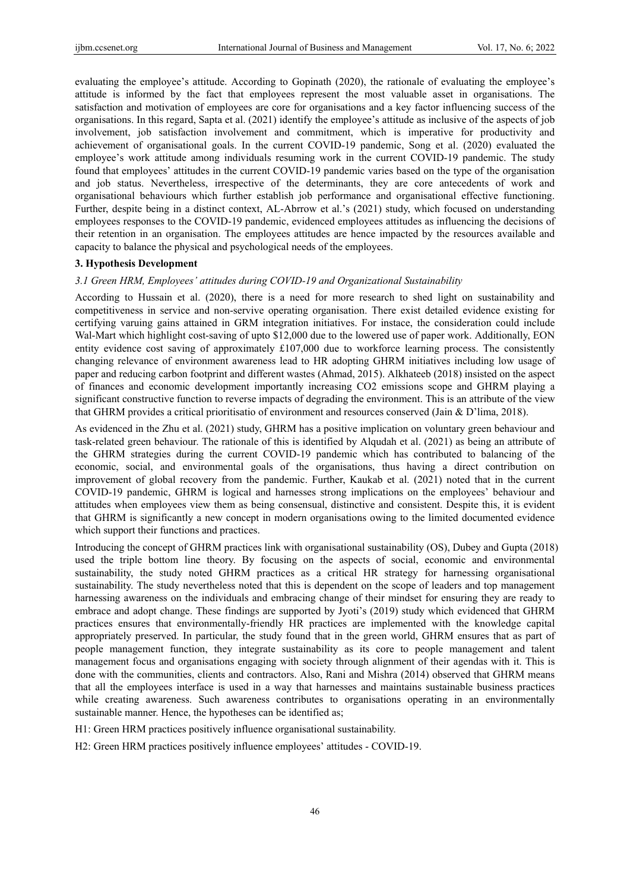evaluating the employee's attitude. According to Gopinath (2020), the rationale of evaluating the employee's attitude is informed by the fact that employees represent the most valuable asset in organisations. The satisfaction and motivation of employees are core for organisations and a key factor influencing success of the organisations. In this regard, Sapta et al. (2021) identify the employee's attitude as inclusive of the aspects of job involvement, job satisfaction involvement and commitment, which is imperative for productivity and achievement of organisational goals. In the current COVID-19 pandemic, Song et al. (2020) evaluated the employee's work attitude among individuals resuming work in the current COVID-19 pandemic. The study found that employees' attitudes in the current COVID-19 pandemic varies based on the type of the organisation and job status. Nevertheless, irrespective of the determinants, they are core antecedents of work and organisational behaviours which further establish job performance and organisational effective functioning. Further, despite being in a distinct context, AL‐Abrrow et al.'s (2021) study, which focused on understanding employees responses to the COVID-19 pandemic, evidenced employees attitudes as influencing the decisions of their retention in an organisation. The employees attitudes are hence impacted by the resources available and capacity to balance the physical and psychological needs of the employees.

# **3. Hypothesis Development**

# *3.1 Green HRM, Employees' attitudes during COVID-19 and Organizational Sustainability*

According to Hussain et al. (2020), there is a need for more research to shed light on sustainability and competitiveness in service and non-servive operating organisation. There exist detailed evidence existing for certifying varuing gains attained in GRM integration initiatives. For instace, the consideration could include Wal-Mart which highlight cost-saving of upto \$12,000 due to the lowered use of paper work. Additionally, EON entity evidence cost saving of approximately £107,000 due to workforce learning process. The consistently changing relevance of environment awareness lead to HR adopting GHRM initiatives including low usage of paper and reducing carbon footprint and different wastes (Ahmad, 2015). Alkhateeb (2018) insisted on the aspect of finances and economic development importantly increasing CO2 emissions scope and GHRM playing a significant constructive function to reverse impacts of degrading the environment. This is an attribute of the view that GHRM provides a critical prioritisatio of environment and resources conserved (Jain & D'lima, 2018).

As evidenced in the Zhu et al. (2021) study, GHRM has a positive implication on voluntary green behaviour and task-related green behaviour. The rationale of this is identified by Alqudah et al. (2021) as being an attribute of the GHRM strategies during the current COVID-19 pandemic which has contributed to balancing of the economic, social, and environmental goals of the organisations, thus having a direct contribution on improvement of global recovery from the pandemic. Further, Kaukab et al. (2021) noted that in the current COVID-19 pandemic, GHRM is logical and harnesses strong implications on the employees' behaviour and attitudes when employees view them as being consensual, distinctive and consistent. Despite this, it is evident that GHRM is significantly a new concept in modern organisations owing to the limited documented evidence which support their functions and practices.

Introducing the concept of GHRM practices link with organisational sustainability (OS), Dubey and Gupta (2018) used the triple bottom line theory. By focusing on the aspects of social, economic and environmental sustainability, the study noted GHRM practices as a critical HR strategy for harnessing organisational sustainability. The study nevertheless noted that this is dependent on the scope of leaders and top management harnessing awareness on the individuals and embracing change of their mindset for ensuring they are ready to embrace and adopt change. These findings are supported by Jyoti's (2019) study which evidenced that GHRM practices ensures that environmentally-friendly HR practices are implemented with the knowledge capital appropriately preserved. In particular, the study found that in the green world, GHRM ensures that as part of people management function, they integrate sustainability as its core to people management and talent management focus and organisations engaging with society through alignment of their agendas with it. This is done with the communities, clients and contractors. Also, Rani and Mishra (2014) observed that GHRM means that all the employees interface is used in a way that harnesses and maintains sustainable business practices while creating awareness. Such awareness contributes to organisations operating in an environmentally sustainable manner. Hence, the hypotheses can be identified as;

H1: Green HRM practices positively influence organisational sustainability.

H2: Green HRM practices positively influence employees' attitudes - COVID-19.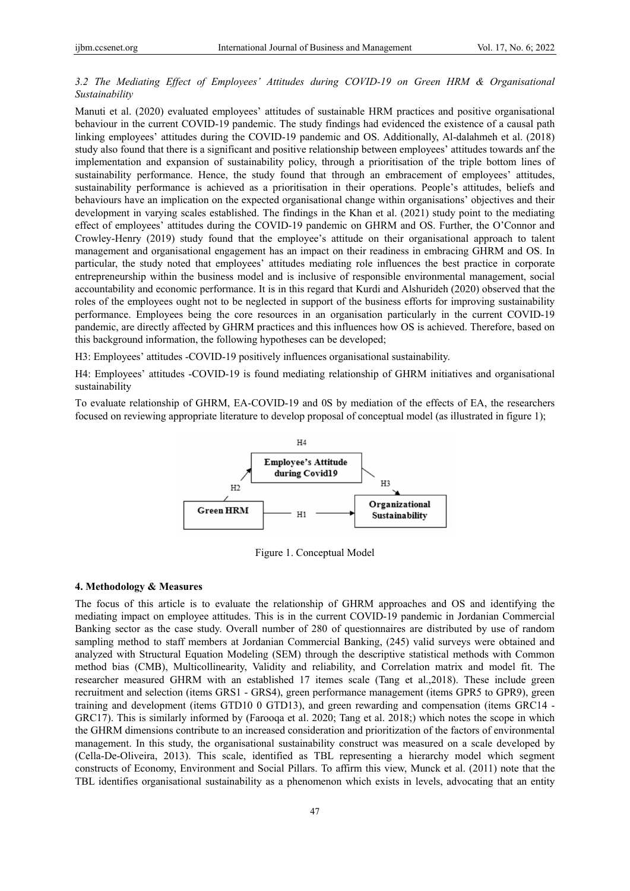# *3.2 The Mediating Effect of Employees' Attitudes during COVID-19 on Green HRM & Organisational Sustainability*

Manuti et al. (2020) evaluated employees' attitudes of sustainable HRM practices and positive organisational behaviour in the current COVID-19 pandemic. The study findings had evidenced the existence of a causal path linking employees' attitudes during the COVID-19 pandemic and OS. Additionally, Al-dalahmeh et al. (2018) study also found that there is a significant and positive relationship between employees' attitudes towards anf the implementation and expansion of sustainability policy, through a prioritisation of the triple bottom lines of sustainability performance. Hence, the study found that through an embracement of employees' attitudes, sustainability performance is achieved as a prioritisation in their operations. People's attitudes, beliefs and behaviours have an implication on the expected organisational change within organisations' objectives and their development in varying scales established. The findings in the Khan et al. (2021) study point to the mediating effect of employees' attitudes during the COVID-19 pandemic on GHRM and OS. Further, the O'Connor and Crowley-Henry (2019) study found that the employee's attitude on their organisational approach to talent management and organisational engagement has an impact on their readiness in embracing GHRM and OS. In particular, the study noted that employees' attitudes mediating role influences the best practice in corporate entrepreneurship within the business model and is inclusive of responsible environmental management, social accountability and economic performance. It is in this regard that Kurdi and Alshurideh (2020) observed that the roles of the employees ought not to be neglected in support of the business efforts for improving sustainability performance. Employees being the core resources in an organisation particularly in the current COVID-19 pandemic, are directly affected by GHRM practices and this influences how OS is achieved. Therefore, based on this background information, the following hypotheses can be developed;

H3: Employees' attitudes -COVID-19 positively influences organisational sustainability.

H4: Employees' attitudes -COVID-19 is found mediating relationship of GHRM initiatives and organisational sustainability

To evaluate relationship of GHRM, EA-COVID-19 and 0S by mediation of the effects of EA, the researchers focused on reviewing appropriate literature to develop proposal of conceptual model (as illustrated in figure 1);



Figure 1. Conceptual Model

## **4. Methodology & Measures**

The focus of this article is to evaluate the relationship of GHRM approaches and OS and identifying the mediating impact on employee attitudes. This is in the current COVID-19 pandemic in Jordanian Commercial Banking sector as the case study. Overall number of 280 of questionnaires are distributed by use of random sampling method to staff members at Jordanian Commercial Banking, (245) valid surveys were obtained and analyzed with Structural Equation Modeling (SEM) through the descriptive statistical methods with Common method bias (CMB), Multicollinearity, Validity and reliability, and Correlation matrix and model fit. The researcher measured GHRM with an established 17 itemes scale (Tang et al.,2018). These include green recruitment and selection (items GRS1 - GRS4), green performance management (items GPR5 to GPR9), green training and development (items GTD10 0 GTD13), and green rewarding and compensation (items GRC14 - GRC17). This is similarly informed by (Farooqa et al. 2020; Tang et al. 2018;) which notes the scope in which the GHRM dimensions contribute to an increased consideration and prioritization of the factors of environmental management. In this study, the organisational sustainability construct was measured on a scale developed by (Cella-De-Oliveira, 2013). This scale, identified as TBL representing a hierarchy model which segment constructs of Economy, Environment and Social Pillars. To affirm this view, Munck et al. (2011) note that the TBL identifies organisational sustainability as a phenomenon which exists in levels, advocating that an entity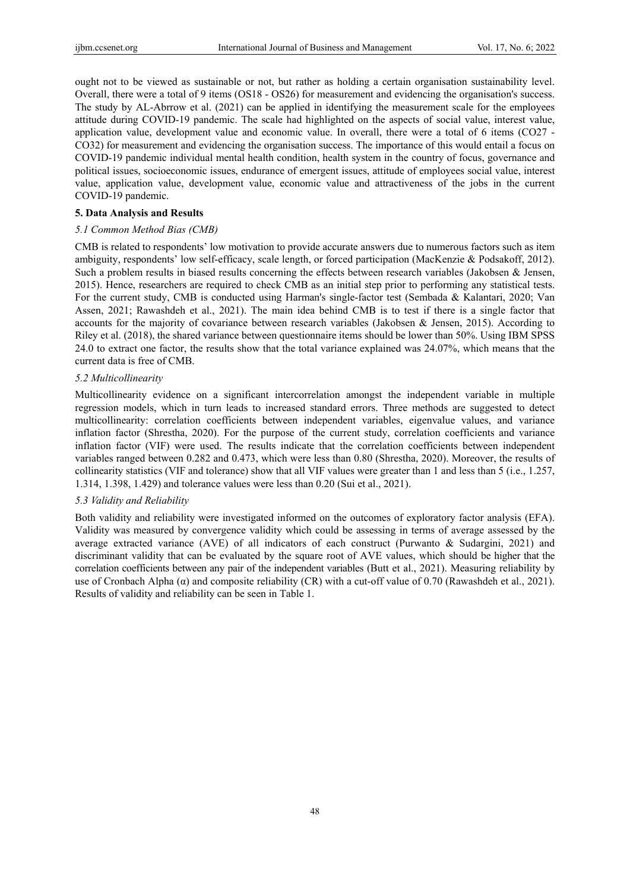ought not to be viewed as sustainable or not, but rather as holding a certain organisation sustainability level. Overall, there were a total of 9 items (OS18 - OS26) for measurement and evidencing the organisation's success. The study by AL-Abrrow et al. (2021) can be applied in identifying the measurement scale for the employees attitude during COVID-19 pandemic. The scale had highlighted on the aspects of social value, interest value, application value, development value and economic value. In overall, there were a total of 6 items (CO27 - CO32) for measurement and evidencing the organisation success. The importance of this would entail a focus on COVID-19 pandemic individual mental health condition, health system in the country of focus, governance and political issues, socioeconomic issues, endurance of emergent issues, attitude of employees social value, interest value, application value, development value, economic value and attractiveness of the jobs in the current COVID-19 pandemic.

#### **5. Data Analysis and Results**

#### *5.1 Common Method Bias (CMB)*

CMB is related to respondents' low motivation to provide accurate answers due to numerous factors such as item ambiguity, respondents' low self-efficacy, scale length, or forced participation (MacKenzie & Podsakoff, 2012). Such a problem results in biased results concerning the effects between research variables (Jakobsen & Jensen, 2015). Hence, researchers are required to check CMB as an initial step prior to performing any statistical tests. For the current study, CMB is conducted using Harman's single-factor test (Sembada & Kalantari, 2020; Van Assen, 2021; Rawashdeh et al., 2021). The main idea behind CMB is to test if there is a single factor that accounts for the majority of covariance between research variables (Jakobsen & Jensen, 2015). According to Riley et al. (2018), the shared variance between questionnaire items should be lower than 50%. Using IBM SPSS 24.0 to extract one factor, the results show that the total variance explained was 24.07%, which means that the current data is free of CMB.

## *5.2 Multicollinearity*

Multicollinearity evidence on a significant intercorrelation amongst the independent variable in multiple regression models, which in turn leads to increased standard errors. Three methods are suggested to detect multicollinearity: correlation coefficients between independent variables, eigenvalue values, and variance inflation factor (Shrestha, 2020). For the purpose of the current study, correlation coefficients and variance inflation factor (VIF) were used. The results indicate that the correlation coefficients between independent variables ranged between 0.282 and 0.473, which were less than 0.80 (Shrestha, 2020). Moreover, the results of collinearity statistics (VIF and tolerance) show that all VIF values were greater than 1 and less than 5 (i.e., 1.257, 1.314, 1.398, 1.429) and tolerance values were less than 0.20 (Sui et al., 2021).

#### *5.3 Validity and Reliability*

Both validity and reliability were investigated informed on the outcomes of exploratory factor analysis (EFA). Validity was measured by convergence validity which could be assessing in terms of average assessed by the average extracted variance (AVE) of all indicators of each construct (Purwanto & Sudargini, 2021) and discriminant validity that can be evaluated by the square root of AVE values, which should be higher that the correlation coefficients between any pair of the independent variables (Butt et al., 2021). Measuring reliability by use of Cronbach Alpha  $(\alpha)$  and composite reliability (CR) with a cut-off value of 0.70 (Rawashdeh et al., 2021). Results of validity and reliability can be seen in Table 1.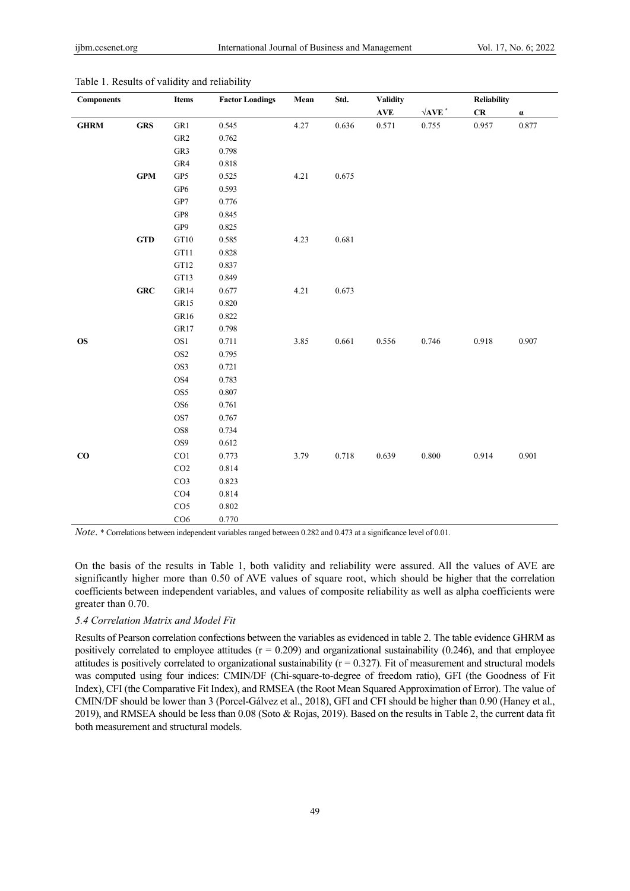| <b>Components</b> |            | Items                     | <b>Factor Loadings</b> | Mean | Std.  | <b>Validity</b> |                     | <b>Reliability</b> |          |
|-------------------|------------|---------------------------|------------------------|------|-------|-----------------|---------------------|--------------------|----------|
|                   |            |                           |                        |      |       | <b>AVE</b>      | $\sqrt{\text{AVE}}$ | ${\bf CR}$         | $\alpha$ |
| $\mathbf{GHRM}$   | <b>GRS</b> | GR1                       | 0.545                  | 4.27 | 0.636 | 0.571           | 0.755               | 0.957              | 0.877    |
|                   |            | GR <sub>2</sub>           | 0.762                  |      |       |                 |                     |                    |          |
|                   |            | GR3                       | 0.798                  |      |       |                 |                     |                    |          |
|                   |            | GR4                       | 0.818                  |      |       |                 |                     |                    |          |
|                   | <b>GPM</b> | GP5                       | 0.525                  | 4.21 | 0.675 |                 |                     |                    |          |
|                   |            | GP <sub>6</sub>           | 0.593                  |      |       |                 |                     |                    |          |
|                   |            | GP7                       | 0.776                  |      |       |                 |                     |                    |          |
|                   |            | ${\bf G} {\bf P} {\bf 8}$ | 0.845                  |      |       |                 |                     |                    |          |
|                   |            | GP9                       | 0.825                  |      |       |                 |                     |                    |          |
|                   | <b>GTD</b> | GT10                      | 0.585                  | 4.23 | 0.681 |                 |                     |                    |          |
|                   |            | $\operatorname{GT11}$     | 0.828                  |      |       |                 |                     |                    |          |
|                   |            | GT12                      | 0.837                  |      |       |                 |                     |                    |          |
|                   |            | GT13                      | 0.849                  |      |       |                 |                     |                    |          |
|                   | GRC        | GR14                      | 0.677                  | 4.21 | 0.673 |                 |                     |                    |          |
|                   |            | GR15                      | 0.820                  |      |       |                 |                     |                    |          |
|                   |            | GR16                      | 0.822                  |      |       |                 |                     |                    |          |
|                   |            | GR17                      | 0.798                  |      |       |                 |                     |                    |          |
| <b>OS</b>         |            | OS1                       | 0.711                  | 3.85 | 0.661 | 0.556           | 0.746               | 0.918              | 0.907    |
|                   |            | OS <sub>2</sub>           | 0.795                  |      |       |                 |                     |                    |          |
|                   |            | OS3                       | 0.721                  |      |       |                 |                     |                    |          |
|                   |            | OS4                       | 0.783                  |      |       |                 |                     |                    |          |
|                   |            | OS5                       | $0.807\,$              |      |       |                 |                     |                    |          |
|                   |            | OS <sub>6</sub>           | 0.761                  |      |       |                 |                     |                    |          |
|                   |            | OS7                       | 0.767                  |      |       |                 |                     |                    |          |
|                   |            | OS8                       | 0.734                  |      |       |                 |                     |                    |          |
|                   |            | OS9                       | 0.612                  |      |       |                 |                     |                    |          |
| $\bf CO$          |            | CO1                       | 0.773                  | 3.79 | 0.718 | 0.639           | 0.800               | 0.914              | 0.901    |
|                   |            | CO <sub>2</sub>           | 0.814                  |      |       |                 |                     |                    |          |
|                   |            | CO <sub>3</sub>           | 0.823                  |      |       |                 |                     |                    |          |
|                   |            | CO4                       | 0.814                  |      |       |                 |                     |                    |          |
|                   |            | CO <sub>5</sub>           | 0.802                  |      |       |                 |                     |                    |          |
|                   |            | CO6                       | 0.770                  |      |       |                 |                     |                    |          |

Table 1. Results of validity and reliability

*Note*. \* Correlations between independent variables ranged between 0.282 and 0.473 at a significance level of 0.01.

On the basis of the results in Table 1, both validity and reliability were assured. All the values of AVE are significantly higher more than 0.50 of AVE values of square root, which should be higher that the correlation coefficients between independent variables, and values of composite reliability as well as alpha coefficients were greater than 0.70.

# *5.4 Correlation Matrix and Model Fit*

Results of Pearson correlation confections between the variables as evidenced in table 2. The table evidence GHRM as positively correlated to employee attitudes  $(r = 0.209)$  and organizational sustainability  $(0.246)$ , and that employee attitudes is positively correlated to organizational sustainability  $(r = 0.327)$ . Fit of measurement and structural models was computed using four indices: CMIN/DF (Chi-square-to-degree of freedom ratio), GFI (the Goodness of Fit Index), CFI (the Comparative Fit Index), and RMSEA (the Root Mean Squared Approximation of Error). The value of CMIN/DF should be lower than 3 (Porcel‐Gálvez et al., 2018), GFI and CFI should be higher than 0.90 (Haney et al., 2019), and RMSEA should be less than 0.08 (Soto & Rojas, 2019). Based on the results in Table 2, the current data fit both measurement and structural models.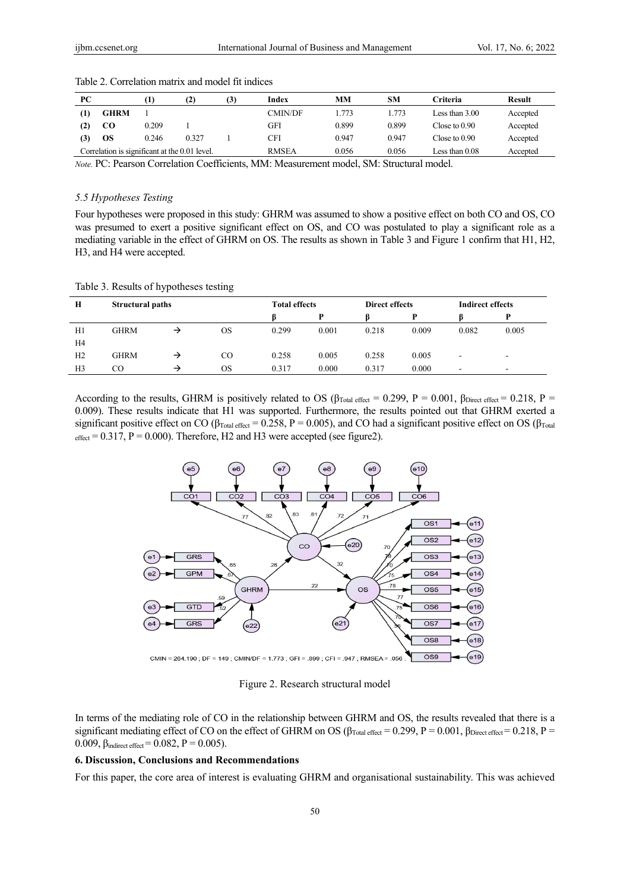| PС  |                                               |       | (2)   | (3) | Index        | MМ    | <b>SM</b> | Criteria        | Result   |
|-----|-----------------------------------------------|-------|-------|-----|--------------|-------|-----------|-----------------|----------|
|     | <b>GHRM</b>                                   |       |       |     | CMIN/DF      | 1.773 | .773      | Less than 3.00  | Accepted |
|     | CO                                            | 0.209 |       |     | GFI          | 0.899 | 0.899     | Close to 0.90   | Accepted |
| (3) | OS                                            | 0.246 | 0.327 |     | CFI          | 0.947 | 0.947     | Close to $0.90$ | Accepted |
|     | Correlation is significant at the 0.01 level. |       |       |     | <b>RMSEA</b> | 0.056 | 0.056     | Less than 0.08  | Accepted |

Table 2. Correlation matrix and model fit indices

*Note.* PC: Pearson Correlation Coefficients, MM: Measurement model, SM: Structural model.

# *5.5 Hypotheses Testing*

Four hypotheses were proposed in this study: GHRM was assumed to show a positive effect on both CO and OS, CO was presumed to exert a positive significant effect on OS, and CO was postulated to play a significant role as a mediating variable in the effect of GHRM on OS. The results as shown in Table 3 and Figure 1 confirm that H1, H2, H3, and H4 were accepted.

| Table 3. Results of hypotheses testing |
|----------------------------------------|
|----------------------------------------|

| Н              | <b>Structural paths</b> |   |          | <b>Total effects</b> |       | <b>Direct effects</b> |       | <b>Indirect effects</b> |                          |
|----------------|-------------------------|---|----------|----------------------|-------|-----------------------|-------|-------------------------|--------------------------|
|                |                         |   |          |                      | D     |                       | D     |                         | D                        |
| H1             | GHRM                    |   | OS       | 0.299                | 0.001 | 0.218                 | 0.009 | 0.082                   | 0.005                    |
| H4             |                         |   |          |                      |       |                       |       |                         |                          |
| H <sub>2</sub> | GHRM                    | → | $\rm CO$ | 0.258                | 0.005 | 0.258                 | 0.005 | ۰                       |                          |
| H <sub>3</sub> | CO.                     | → | OS       | 0.317                | 0.000 | 0.317                 | 0.000 |                         | $\overline{\phantom{a}}$ |

According to the results, GHRM is positively related to OS ( $\beta_{Total\ effect} = 0.299$ , P = 0.001,  $\beta_{Direct\ effect} = 0.218$ , P = 0.009). These results indicate that H1 was supported. Furthermore, the results pointed out that GHRM exerted a significant positive effect on CO ( $\beta_{\text{Total effect}} = 0.258$ , P = 0.005), and CO had a significant positive effect on OS ( $\beta_{\text{Total}}$  $_{\text{effect}}$  = 0.317, P = 0.000). Therefore, H2 and H3 were accepted (see figure2).



Figure 2. Research structural model

In terms of the mediating role of CO in the relationship between GHRM and OS, the results revealed that there is a significant mediating effect of CO on the effect of GHRM on OS ( $\beta_{Total \text{ effect}} = 0.299$ ,  $P = 0.001$ ,  $\beta_{Direct \text{ effect}} = 0.218$ ,  $P = 0.001$ 0.009,  $\beta_{indirect\ effect} = 0.082$ ,  $P = 0.005$ ).

# **6. Discussion, Conclusions and Recommendations**

For this paper, the core area of interest is evaluating GHRM and organisational sustainability. This was achieved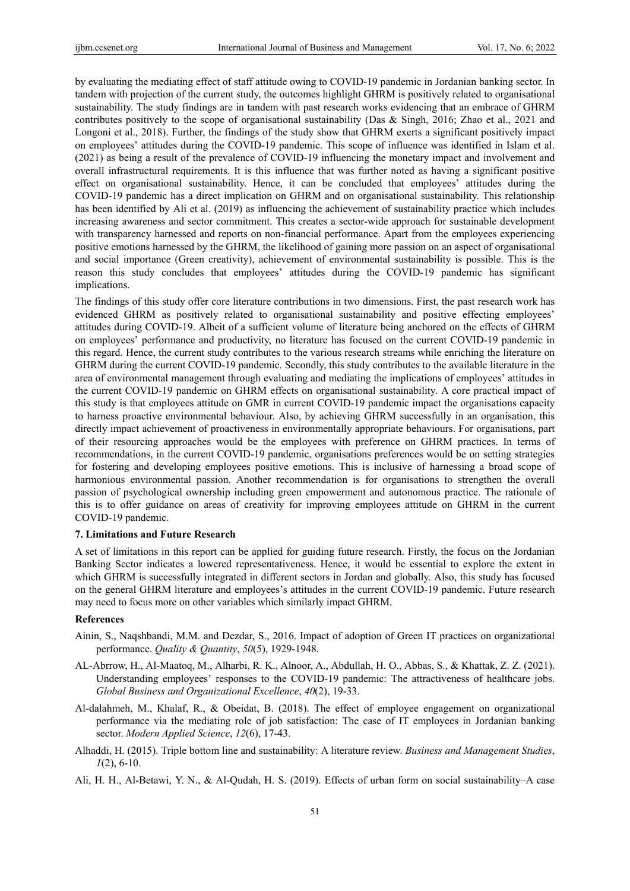by evaluating the mediating effect of staff attitude owing to COVID-19 pandemic in Jordanian banking sector. In tandem with projection of the current study, the outcomes highlight GHRM is positively related to organisational sustainability. The study findings are in tandem with past research works evidencing that an embrace of GHRM contributes positively to the scope of organisational sustainability (Das & Singh, 2016; Zhao et al., 2021 and Longoni et al., 2018). Further, the findings of the study show that GHRM exerts a significant positively impact on employees' attitudes during the COVID-19 pandemic. This scope of influence was identified in Islam et al. (2021) as being a result of the prevalence of COVID-19 influencing the monetary impact and involvement and overall infrastructural requirements. It is this influence that was further noted as having a significant positive effect on organisational sustainability. Hence, it can be concluded that employees' attitudes during the COVID-19 pandemic has a direct implication on GHRM and on organisational sustainability. This relationship has been identified by Ali et al. (2019) as influencing the achievement of sustainability practice which includes increasing awareness and sector commitment. This creates a sector-wide approach for sustainable development with transparency harnessed and reports on non-financial performance. Apart from the employees experiencing positive emotions harnessed by the GHRM, the likelihood of gaining more passion on an aspect of organisational and social importance (Green creativity), achievement of environmental sustainability is possible. This is the reason this study concludes that employees' attitudes during the COVID-19 pandemic has significant implications.

The findings of this study offer core literature contributions in two dimensions. First, the past research work has evidenced GHRM as positively related to organisational sustainability and positive effecting employees' attitudes during COVID-19. Albeit of a sufficient volume of literature being anchored on the effects of GHRM on employees' performance and productivity, no literature has focused on the current COVID-19 pandemic in this regard. Hence, the current study contributes to the various research streams while enriching the literature on GHRM during the current COVID-19 pandemic. Secondly, this study contributes to the available literature in the area of environmental management through evaluating and mediating the implications of employees' attitudes in the current COVID-19 pandemic on GHRM effects on organisational sustainability. A core practical impact of this study is that employees attitude on GMR in current COVID-19 pandemic impact the organisations capacity to harness proactive environmental behaviour. Also, by achieving GHRM successfully in an organisation, this directly impact achievement of proactiveness in environmentally appropriate behaviours. For organisations, part of their resourcing approaches would be the employees with preference on GHRM practices. In terms of recommendations, in the current COVID-19 pandemic, organisations preferences would be on setting strategies for fostering and developing employees positive emotions. This is inclusive of harnessing a broad scope of harmonious environmental passion. Another recommendation is for organisations to strengthen the overall passion of psychological ownership including green empowerment and autonomous practice. The rationale of this is to offer guidance on areas of creativity for improving employees attitude on GHRM in the current COVID-19 pandemic.

# **7. Limitations and Future Research**

A set of limitations in this report can be applied for guiding future research. Firstly, the focus on the Jordanian Banking Sector indicates a lowered representativeness. Hence, it would be essential to explore the extent in which GHRM is successfully integrated in different sectors in Jordan and globally. Also, this study has focused on the general GHRM literature and employees's attitudes in the current COVID-19 pandemic. Future research may need to focus more on other variables which similarly impact GHRM.

## **References**

- Ainin, S., Naqshbandi, M.M. and Dezdar, S., 2016. Impact of adoption of Green IT practices on organizational performance. *Quality & Quantity*, *50*(5), 1929-1948.
- AL‐Abrrow, H., Al‐Maatoq, M., Alharbi, R. K., Alnoor, A., Abdullah, H. O., Abbas, S., & Khattak, Z. Z. (2021). Understanding employees' responses to the COVID-19 pandemic: The attractiveness of healthcare jobs. *Global Business and Organizational Excellence*, *40*(2), 19-33.
- Al-dalahmeh, M., Khalaf, R., & Obeidat, B. (2018). The effect of employee engagement on organizational performance via the mediating role of job satisfaction: The case of IT employees in Jordanian banking sector. *Modern Applied Science*, *12*(6), 17-43.
- Alhaddi, H. (2015). Triple bottom line and sustainability: A literature review. *Business and Management Studies*, *1*(2), 6-10.
- Ali, H. H., Al-Betawi, Y. N., & Al-Qudah, H. S. (2019). Effects of urban form on social sustainability–A case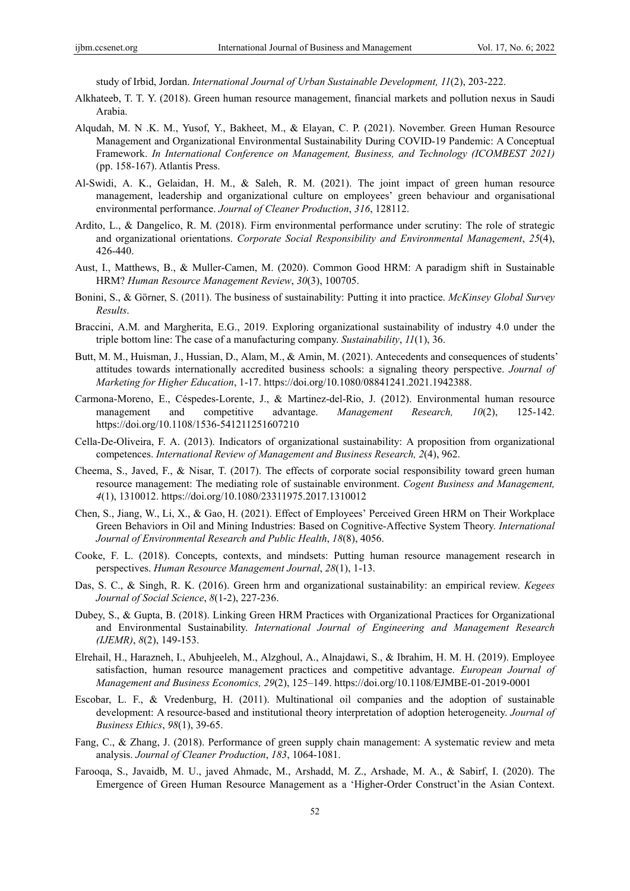study of Irbid, Jordan. *International Journal of Urban Sustainable Development, 11*(2), 203-222.

- Alkhateeb, T. T. Y. (2018). Green human resource management, financial markets and pollution nexus in Saudi Arabia.
- Alqudah, M. N .K. M., Yusof, Y., Bakheet, M., & Elayan, C. P. (2021). November. Green Human Resource Management and Organizational Environmental Sustainability During COVID-19 Pandemic: A Conceptual Framework. *In International Conference on Management, Business, and Technology (ICOMBEST 2021)*  (pp. 158-167). Atlantis Press.
- Al-Swidi, A. K., Gelaidan, H. M., & Saleh, R. M. (2021). The joint impact of green human resource management, leadership and organizational culture on employees' green behaviour and organisational environmental performance. *Journal of Cleaner Production*, *316*, 128112.
- Ardito, L., & Dangelico, R. M. (2018). Firm environmental performance under scrutiny: The role of strategic and organizational orientations. *Corporate Social Responsibility and Environmental Management*, *25*(4), 426-440.
- Aust, I., Matthews, B., & Muller-Camen, M. (2020). Common Good HRM: A paradigm shift in Sustainable HRM? *Human Resource Management Review*, *30*(3), 100705.
- Bonini, S., & Görner, S. (2011). The business of sustainability: Putting it into practice. *McKinsey Global Survey Results*.
- Braccini, A.M. and Margherita, E.G., 2019. Exploring organizational sustainability of industry 4.0 under the triple bottom line: The case of a manufacturing company. *Sustainability*, *11*(1), 36.
- Butt, M. M., Huisman, J., Hussian, D., Alam, M., & Amin, M. (2021). Antecedents and consequences of students' attitudes towards internationally accredited business schools: a signaling theory perspective. *Journal of Marketing for Higher Education*, 1-17. https://doi.org/10.1080/08841241.2021.1942388.
- Carmona‐Moreno, E., Céspedes‐Lorente, J., & Martinez‐del‐Rio, J. (2012). Environmental human resource management and competitive advantage. *Management Research, 10*(2), 125-142. https://doi.org/10.1108/1536-541211251607210
- Cella-De-Oliveira, F. A. (2013). Indicators of organizational sustainability: A proposition from organizational competences. *International Review of Management and Business Research, 2*(4), 962.
- Cheema, S., Javed, F., & Nisar, T. (2017). The effects of corporate social responsibility toward green human resource management: The mediating role of sustainable environment. *Cogent Business and Management, 4*(1), 1310012. https://doi.org/10.1080/23311975.2017.1310012
- Chen, S., Jiang, W., Li, X., & Gao, H. (2021). Effect of Employees' Perceived Green HRM on Their Workplace Green Behaviors in Oil and Mining Industries: Based on Cognitive-Affective System Theory. *International Journal of Environmental Research and Public Health*, *18*(8), 4056.
- Cooke, F. L. (2018). Concepts, contexts, and mindsets: Putting human resource management research in perspectives. *Human Resource Management Journal*, *28*(1), 1-13.
- Das, S. C., & Singh, R. K. (2016). Green hrm and organizational sustainability: an empirical review. *Kegees Journal of Social Science*, *8*(1-2), 227-236.
- Dubey, S., & Gupta, B. (2018). Linking Green HRM Practices with Organizational Practices for Organizational and Environmental Sustainability. *International Journal of Engineering and Management Research (IJEMR)*, *8*(2), 149-153.
- Elrehail, H., Harazneh, I., Abuhjeeleh, M., Alzghoul, A., Alnajdawi, S., & Ibrahim, H. M. H. (2019). Employee satisfaction, human resource management practices and competitive advantage. *European Journal of Management and Business Economics, 29*(2), 125–149. https://doi.org/10.1108/EJMBE-01-2019-0001
- Escobar, L. F., & Vredenburg, H. (2011). Multinational oil companies and the adoption of sustainable development: A resource-based and institutional theory interpretation of adoption heterogeneity. *Journal of Business Ethics*, *98*(1), 39-65.
- Fang, C., & Zhang, J. (2018). Performance of green supply chain management: A systematic review and meta analysis. *Journal of Cleaner Production*, *183*, 1064-1081.
- Farooqa, S., Javaidb, M. U., javed Ahmadc, M., Arshadd, M. Z., Arshade, M. A., & Sabirf, I. (2020). The Emergence of Green Human Resource Management as a 'Higher-Order Construct'in the Asian Context.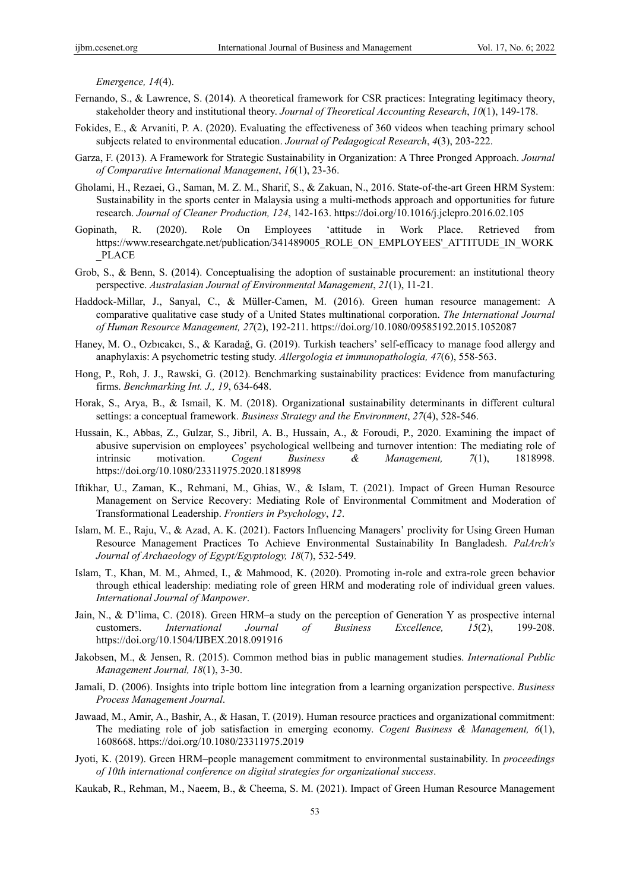*Emergence, 14*(4).

- Fernando, S., & Lawrence, S. (2014). A theoretical framework for CSR practices: Integrating legitimacy theory, stakeholder theory and institutional theory. *Journal of Theoretical Accounting Research*, *10*(1), 149-178.
- Fokides, E., & Arvaniti, P. A. (2020). Evaluating the effectiveness of 360 videos when teaching primary school subjects related to environmental education. *Journal of Pedagogical Research*, *4*(3), 203-222.
- Garza, F. (2013). A Framework for Strategic Sustainability in Organization: A Three Pronged Approach. *Journal of Comparative International Management*, *16*(1), 23-36.
- Gholami, H., Rezaei, G., Saman, M. Z. M., Sharif, S., & Zakuan, N., 2016. State-of-the-art Green HRM System: Sustainability in the sports center in Malaysia using a multi-methods approach and opportunities for future research. *Journal of Cleaner Production, 124*, 142-163. https://doi.org/10.1016/j.jclepro.2016.02.105
- Gopinath, R. (2020). Role On Employees 'attitude in Work Place. Retrieved from https://www.researchgate.net/publication/341489005\_ROLE\_ON\_EMPLOYEES'\_ATTITUDE\_IN\_WORK \_PLACE
- Grob, S., & Benn, S. (2014). Conceptualising the adoption of sustainable procurement: an institutional theory perspective. *Australasian Journal of Environmental Management*, *21*(1), 11-21.
- Haddock-Millar, J., Sanyal, C., & Müller-Camen, M. (2016). Green human resource management: A comparative qualitative case study of a United States multinational corporation. *The International Journal of Human Resource Management, 27*(2), 192-211. https://doi.org/10.1080/09585192.2015.1052087
- Haney, M. O., Ozbıcakcı, S., & Karadağ, G. (2019). Turkish teachers' self-efficacy to manage food allergy and anaphylaxis: A psychometric testing study. *Allergologia et immunopathologia, 47*(6), 558-563.
- Hong, P., Roh, J. J., Rawski, G. (2012). Benchmarking sustainability practices: Evidence from manufacturing firms. *Benchmarking Int. J., 19*, 634-648.
- Horak, S., Arya, B., & Ismail, K. M. (2018). Organizational sustainability determinants in different cultural settings: a conceptual framework. *Business Strategy and the Environment*, *27*(4), 528-546.
- Hussain, K., Abbas, Z., Gulzar, S., Jibril, A. B., Hussain, A., & Foroudi, P., 2020. Examining the impact of abusive supervision on employees' psychological wellbeing and turnover intention: The mediating role of intrinsic motivation. *Cogent Business & Management, 7*(1), 1818998. https://doi.org/10.1080/23311975.2020.1818998
- Iftikhar, U., Zaman, K., Rehmani, M., Ghias, W., & Islam, T. (2021). Impact of Green Human Resource Management on Service Recovery: Mediating Role of Environmental Commitment and Moderation of Transformational Leadership. *Frontiers in Psychology*, *12*.
- Islam, M. E., Raju, V., & Azad, A. K. (2021). Factors Influencing Managers' proclivity for Using Green Human Resource Management Practices To Achieve Environmental Sustainability In Bangladesh. *PalArch's Journal of Archaeology of Egypt/Egyptology, 18*(7), 532-549.
- Islam, T., Khan, M. M., Ahmed, I., & Mahmood, K. (2020). Promoting in-role and extra-role green behavior through ethical leadership: mediating role of green HRM and moderating role of individual green values. *International Journal of Manpower*.
- Jain, N., & D'lima, C. (2018). Green HRM–a study on the perception of Generation Y as prospective internal customers. *International Journal of Business Excellence, 15*(2), 199-208. https://doi.org/10.1504/IJBEX.2018.091916
- Jakobsen, M., & Jensen, R. (2015). Common method bias in public management studies. *International Public Management Journal, 18*(1), 3-30.
- Jamali, D. (2006). Insights into triple bottom line integration from a learning organization perspective. *Business Process Management Journal*.
- Jawaad, M., Amir, A., Bashir, A., & Hasan, T. (2019). Human resource practices and organizational commitment: The mediating role of job satisfaction in emerging economy. *Cogent Business & Management, 6*(1), 1608668. https://doi.org/10.1080/23311975.2019
- Jyoti, K. (2019). Green HRM–people management commitment to environmental sustainability. In *proceedings of 10th international conference on digital strategies for organizational success*.
- Kaukab, R., Rehman, M., Naeem, B., & Cheema, S. M. (2021). Impact of Green Human Resource Management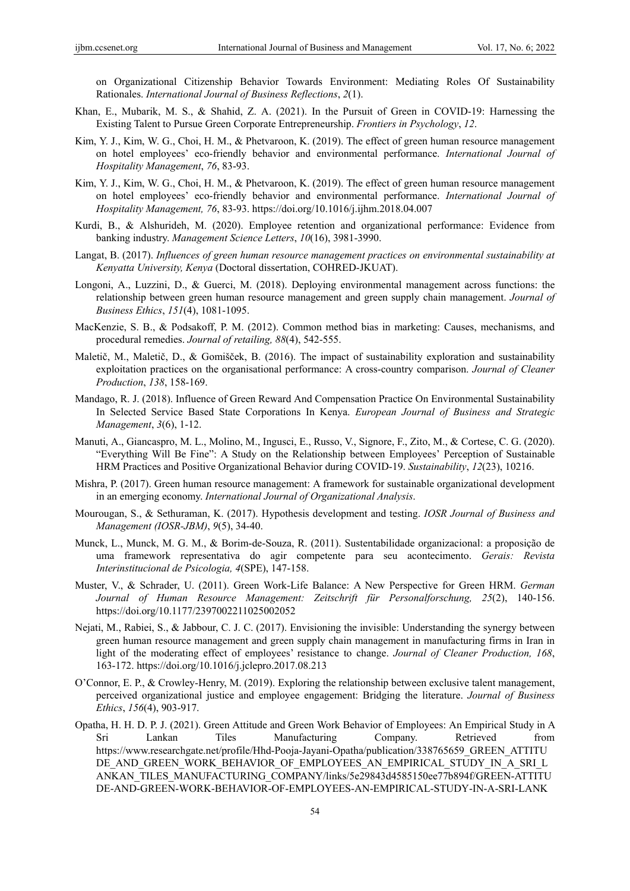on Organizational Citizenship Behavior Towards Environment: Mediating Roles Of Sustainability Rationales. *International Journal of Business Reflections*, *2*(1).

- Khan, E., Mubarik, M. S., & Shahid, Z. A. (2021). In the Pursuit of Green in COVID-19: Harnessing the Existing Talent to Pursue Green Corporate Entrepreneurship. *Frontiers in Psychology*, *12*.
- Kim, Y. J., Kim, W. G., Choi, H. M., & Phetvaroon, K. (2019). The effect of green human resource management on hotel employees' eco-friendly behavior and environmental performance. *International Journal of Hospitality Management*, *76*, 83-93.
- Kim, Y. J., Kim, W. G., Choi, H. M., & Phetvaroon, K. (2019). The effect of green human resource management on hotel employees' eco-friendly behavior and environmental performance. *International Journal of Hospitality Management, 76*, 83-93. https://doi.org/10.1016/j.ijhm.2018.04.007
- Kurdi, B., & Alshurideh, M. (2020). Employee retention and organizational performance: Evidence from banking industry. *Management Science Letters*, *10*(16), 3981-3990.
- Langat, B. (2017). *Influences of green human resource management practices on environmental sustainability at Kenyatta University, Kenya* (Doctoral dissertation, COHRED-JKUAT).
- Longoni, A., Luzzini, D., & Guerci, M. (2018). Deploying environmental management across functions: the relationship between green human resource management and green supply chain management. *Journal of Business Ethics*, *151*(4), 1081-1095.
- MacKenzie, S. B., & Podsakoff, P. M. (2012). Common method bias in marketing: Causes, mechanisms, and procedural remedies. *Journal of retailing, 88*(4), 542-555.
- Maletič, M., Maletič, D., & Gomišček, B. (2016). The impact of sustainability exploration and sustainability exploitation practices on the organisational performance: A cross-country comparison. *Journal of Cleaner Production*, *138*, 158-169.
- Mandago, R. J. (2018). Influence of Green Reward And Compensation Practice On Environmental Sustainability In Selected Service Based State Corporations In Kenya. *European Journal of Business and Strategic Management*, *3*(6), 1-12.
- Manuti, A., Giancaspro, M. L., Molino, M., Ingusci, E., Russo, V., Signore, F., Zito, M., & Cortese, C. G. (2020). "Everything Will Be Fine": A Study on the Relationship between Employees' Perception of Sustainable HRM Practices and Positive Organizational Behavior during COVID-19. *Sustainability*, *12*(23), 10216.
- Mishra, P. (2017). Green human resource management: A framework for sustainable organizational development in an emerging economy. *International Journal of Organizational Analysis*.
- Mourougan, S., & Sethuraman, K. (2017). Hypothesis development and testing. *IOSR Journal of Business and Management (IOSR-JBM)*, *9*(5), 34-40.
- Munck, L., Munck, M. G. M., & Borim-de-Souza, R. (2011). Sustentabilidade organizacional: a proposição de uma framework representativa do agir competente para seu acontecimento. *Gerais: Revista Interinstitucional de Psicologia, 4*(SPE), 147-158.
- Muster, V., & Schrader, U. (2011). Green Work-Life Balance: A New Perspective for Green HRM. *German Journal of Human Resource Management: Zeitschrift für Personalforschung, 25*(2), 140-156. https://doi.org/10.1177/2397002211025002052
- Nejati, M., Rabiei, S., & Jabbour, C. J. C. (2017). Envisioning the invisible: Understanding the synergy between green human resource management and green supply chain management in manufacturing firms in Iran in light of the moderating effect of employees' resistance to change. *Journal of Cleaner Production, 168*, 163-172. https://doi.org/10.1016/j.jclepro.2017.08.213
- O'Connor, E. P., & Crowley-Henry, M. (2019). Exploring the relationship between exclusive talent management, perceived organizational justice and employee engagement: Bridging the literature. *Journal of Business Ethics*, *156*(4), 903-917.
- Opatha, H. H. D. P. J. (2021). Green Attitude and Green Work Behavior of Employees: An Empirical Study in A Sri Lankan Tiles Manufacturing Company. Retrieved from https://www.researchgate.net/profile/Hhd-Pooja-Jayani-Opatha/publication/338765659\_GREEN\_ATTITU DE\_AND\_GREEN\_WORK\_BEHAVIOR\_OF\_EMPLOYEES\_AN\_EMPIRICAL\_STUDY\_IN\_A\_SRI\_L ANKAN\_TILES\_MANUFACTURING\_COMPANY/links/5e29843d4585150ee77b894f/GREEN-ATTITU DE-AND-GREEN-WORK-BEHAVIOR-OF-EMPLOYEES-AN-EMPIRICAL-STUDY-IN-A-SRI-LANK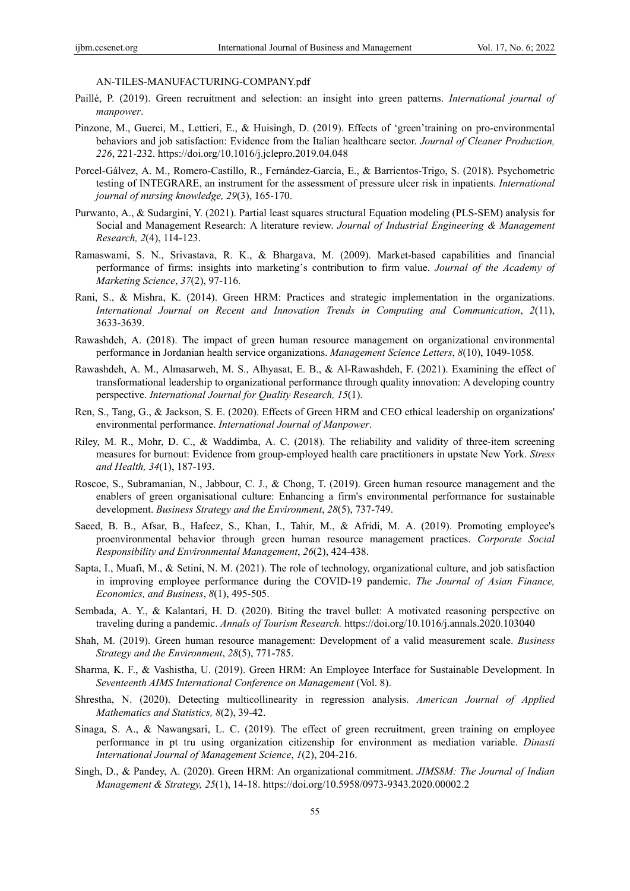AN-TILES-MANUFACTURING-COMPANY.pdf

- Paillé, P. (2019). Green recruitment and selection: an insight into green patterns. *International journal of manpower*.
- Pinzone, M., Guerci, M., Lettieri, E., & Huisingh, D. (2019). Effects of 'green'training on pro-environmental behaviors and job satisfaction: Evidence from the Italian healthcare sector. *Journal of Cleaner Production, 226*, 221-232. https://doi.org/10.1016/j.jclepro.2019.04.048
- Porcel‐Gálvez, A. M., Romero‐Castillo, R., Fernández‐García, E., & Barrientos‐Trigo, S. (2018). Psychometric testing of INTEGRARE, an instrument for the assessment of pressure ulcer risk in inpatients. *International journal of nursing knowledge, 29*(3), 165-170.
- Purwanto, A., & Sudargini, Y. (2021). Partial least squares structural Equation modeling (PLS-SEM) analysis for Social and Management Research: A literature review. *Journal of Industrial Engineering & Management Research, 2*(4), 114-123.
- Ramaswami, S. N., Srivastava, R. K., & Bhargava, M. (2009). Market-based capabilities and financial performance of firms: insights into marketing's contribution to firm value. *Journal of the Academy of Marketing Science*, *37*(2), 97-116.
- Rani, S., & Mishra, K. (2014). Green HRM: Practices and strategic implementation in the organizations. *International Journal on Recent and Innovation Trends in Computing and Communication*, *2*(11), 3633-3639.
- Rawashdeh, A. (2018). The impact of green human resource management on organizational environmental performance in Jordanian health service organizations. *Management Science Letters*, *8*(10), 1049-1058.
- Rawashdeh, A. M., Almasarweh, M. S., Alhyasat, E. B., & Al-Rawashdeh, F. (2021). Examining the effect of transformational leadership to organizational performance through quality innovation: A developing country perspective. *International Journal for Quality Research, 15*(1).
- Ren, S., Tang, G., & Jackson, S. E. (2020). Effects of Green HRM and CEO ethical leadership on organizations' environmental performance. *International Journal of Manpower*.
- Riley, M. R., Mohr, D. C., & Waddimba, A. C. (2018). The reliability and validity of three‐item screening measures for burnout: Evidence from group‐employed health care practitioners in upstate New York. *Stress and Health, 34*(1), 187-193.
- Roscoe, S., Subramanian, N., Jabbour, C. J., & Chong, T. (2019). Green human resource management and the enablers of green organisational culture: Enhancing a firm's environmental performance for sustainable development. *Business Strategy and the Environment*, *28*(5), 737-749.
- Saeed, B. B., Afsar, B., Hafeez, S., Khan, I., Tahir, M., & Afridi, M. A. (2019). Promoting employee's proenvironmental behavior through green human resource management practices. *Corporate Social Responsibility and Environmental Management*, *26*(2), 424-438.
- Sapta, I., Muafi, M., & Setini, N. M. (2021). The role of technology, organizational culture, and job satisfaction in improving employee performance during the COVID-19 pandemic. *The Journal of Asian Finance, Economics, and Business*, *8*(1), 495-505.
- Sembada, A. Y., & Kalantari, H. D. (2020). Biting the travel bullet: A motivated reasoning perspective on traveling during a pandemic. *Annals of Tourism Research.* https://doi.org/10.1016/j.annals.2020.103040
- Shah, M. (2019). Green human resource management: Development of a valid measurement scale. *Business Strategy and the Environment*, *28*(5), 771-785.
- Sharma, K. F., & Vashistha, U. (2019). Green HRM: An Employee Interface for Sustainable Development. In *Seventeenth AIMS International Conference on Management* (Vol. 8).
- Shrestha, N. (2020). Detecting multicollinearity in regression analysis. *American Journal of Applied Mathematics and Statistics, 8*(2), 39-42.
- Sinaga, S. A., & Nawangsari, L. C. (2019). The effect of green recruitment, green training on employee performance in pt tru using organization citizenship for environment as mediation variable. *Dinasti International Journal of Management Science*, *1*(2), 204-216.
- Singh, D., & Pandey, A. (2020). Green HRM: An organizational commitment. *JIMS8M: The Journal of Indian Management & Strategy, 25*(1), 14-18. https://doi.org/10.5958/0973-9343.2020.00002.2